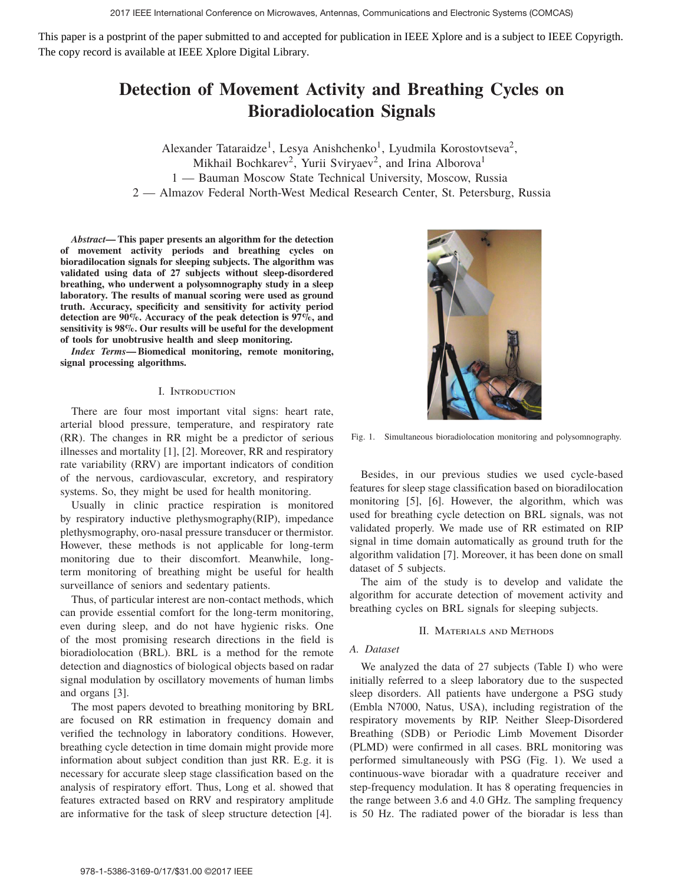This paper is a postprint of the paper submitted to and accepted for publication in IEEE Xplore and is a subject to IEEE Copyrigth. The copy record is available at IEEE Xplore Digital Library.

# **Detection of Movement Activity and Breathing Cycles on Bioradiolocation Signals**

Alexander Tataraidze<sup>1</sup>, Lesya Anishchenko<sup>1</sup>, Lyudmila Korostovtseva<sup>2</sup>, Mikhail Bochkarev<sup>2</sup>, Yurii Sviryaev<sup>2</sup>, and Irina Alborova<sup>1</sup> 1 — Bauman Moscow State Technical University, Moscow, Russia 2 — Almazov Federal North-West Medical Research Center, St. Petersburg, Russia

*Abstract***— This paper presents an algorithm for the detection of movement activity periods and breathing cycles on bioradilocation signals for sleeping subjects. The algorithm was validated using data of 27 subjects without sleep-disordered breathing, who underwent a polysomnography study in a sleep laboratory. The results of manual scoring were used as ground truth. Accuracy, specificity and sensitivity for activity period detection are 90%. Accuracy of the peak detection is 97%, and sensitivity is 98%. Our results will be useful for the development of tools for unobtrusive health and sleep monitoring.**

*Index Terms***— Biomedical monitoring, remote monitoring, signal processing algorithms.**

# I. Introduction

There are four most important vital signs: heart rate, arterial blood pressure, temperature, and respiratory rate (RR). The changes in RR might be a predictor of serious illnesses and mortality [1], [2]. Moreover, RR and respiratory rate variability (RRV) are important indicators of condition of the nervous, cardiovascular, excretory, and respiratory systems. So, they might be used for health monitoring.

Usually in clinic practice respiration is monitored by respiratory inductive plethysmography(RIP), impedance plethysmography, oro-nasal pressure transducer or thermistor. However, these methods is not applicable for long-term monitoring due to their discomfort. Meanwhile, longterm monitoring of breathing might be useful for health surveillance of seniors and sedentary patients.

Thus, of particular interest are non-contact methods, which can provide essential comfort for the long-term monitoring, even during sleep, and do not have hygienic risks. One of the most promising research directions in the field is bioradiolocation (BRL). BRL is a method for the remote detection and diagnostics of biological objects based on radar signal modulation by oscillatory movements of human limbs and organs [3].

The most papers devoted to breathing monitoring by BRL are focused on RR estimation in frequency domain and verified the technology in laboratory conditions. However, breathing cycle detection in time domain might provide more information about subject condition than just RR. E.g. it is necessary for accurate sleep stage classification based on the analysis of respiratory effort. Thus, Long et al. showed that features extracted based on RRV and respiratory amplitude are informative for the task of sleep structure detection [4].



Fig. 1. Simultaneous bioradiolocation monitoring and polysomnography.

Besides, in our previous studies we used cycle-based features for sleep stage classification based on bioradilocation monitoring [5], [6]. However, the algorithm, which was used for breathing cycle detection on BRL signals, was not validated properly. We made use of RR estimated on RIP signal in time domain automatically as ground truth for the algorithm validation [7]. Moreover, it has been done on small dataset of 5 subjects.

The aim of the study is to develop and validate the algorithm for accurate detection of movement activity and breathing cycles on BRL signals for sleeping subjects.

# II. Materials and Methods

# *A. Dataset*

We analyzed the data of 27 subjects (Table I) who were initially referred to a sleep laboratory due to the suspected sleep disorders. All patients have undergone a PSG study (Embla N7000, Natus, USA), including registration of the respiratory movements by RIP. Neither Sleep-Disordered Breathing (SDB) or Periodic Limb Movement Disorder (PLMD) were confirmed in all cases. BRL monitoring was performed simultaneously with PSG (Fig. 1). We used a continuous-wave bioradar with a quadrature receiver and step-frequency modulation. It has 8 operating frequencies in the range between 3.6 and 4.0 GHz. The sampling frequency is 50 Hz. The radiated power of the bioradar is less than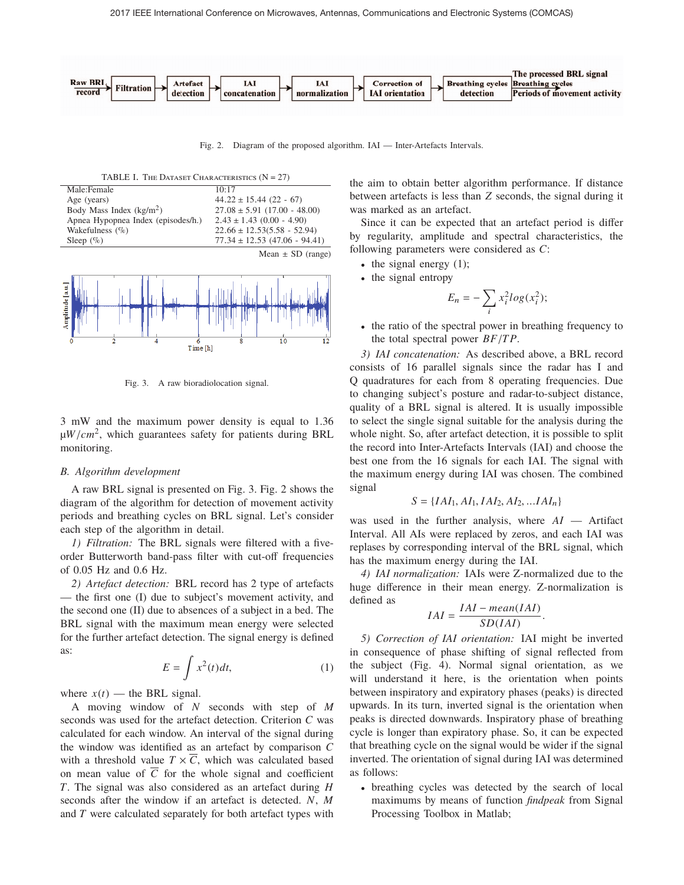

Fig. 2. Diagram of the proposed algorithm. IAI — Inter-Artefacts Intervals.







Fig. 3. A raw bioradiolocation signal.

3 mW and the maximum power density is equal to 1.36 μ*W*/*cm*2, which guarantees safety for patients during BRL monitoring.

# *B. Algorithm development*

A raw BRL signal is presented on Fig. 3. Fig. 2 shows the diagram of the algorithm for detection of movement activity periods and breathing cycles on BRL signal. Let's consider each step of the algorithm in detail.

*1) Filtration:* The BRL signals were filtered with a fiveorder Butterworth band-pass filter with cut-off frequencies of 0.05 Hz and 0.6 Hz.

*2) Artefact detection:* BRL record has 2 type of artefacts — the first one (I) due to subject's movement activity, and the second one (II) due to absences of a subject in a bed. The BRL signal with the maximum mean energy were selected for the further artefact detection. The signal energy is defined as:

$$
E = \int x^2(t)dt,
$$
 (1)

where  $x(t)$  — the BRL signal.

A moving window of *N* seconds with step of *M* seconds was used for the artefact detection. Criterion *C* was calculated for each window. An interval of the signal during the window was identified as an artefact by comparison *C* with a threshold value  $T \times \overline{C}$ , which was calculated based on mean value of  $\overline{C}$  for the whole signal and coefficient *T*. The signal was also considered as an artefact during *H* seconds after the window if an artefact is detected. *N*, *M* and *T* were calculated separately for both artefact types with the aim to obtain better algorithm performance. If distance between artefacts is less than *Z* seconds, the signal during it was marked as an artefact.

Since it can be expected that an artefact period is differ by regularity, amplitude and spectral characteristics, the following parameters were considered as *C*:

- the signal energy  $(1)$ ;
- the signal entropy

$$
E_n = -\sum_i x_i^2 \log(x_i^2);
$$

• the ratio of the spectral power in breathing frequency to the total spectral power *BF*/*T P*.

*3) IAI concatenation:* As described above, a BRL record consists of 16 parallel signals since the radar has I and Q quadratures for each from 8 operating frequencies. Due to changing subject's posture and radar-to-subject distance, quality of a BRL signal is altered. It is usually impossible to select the single signal suitable for the analysis during the whole night. So, after artefact detection, it is possible to split the record into Inter-Artefacts Intervals (IAI) and choose the best one from the 16 signals for each IAI. The signal with the maximum energy during IAI was chosen. The combined signal

$$
S = \{IAI_1, AI_1, IAI_2, AI_2, ... IAI_n\}
$$

was used in the further analysis, where *AI* — Artifact Interval. All AIs were replaced by zeros, and each IAI was replases by corresponding interval of the BRL signal, which has the maximum energy during the IAI.

*4) IAI normalization:* IAIs were Z-normalized due to the huge difference in their mean energy. Z-normalization is defined as

$$
IAI = \frac{IAI - mean(IAI)}{SD(IAI)}.
$$

*5) Correction of IAI orientation:* IAI might be inverted in consequence of phase shifting of signal reflected from the subject (Fig. 4). Normal signal orientation, as we will understand it here, is the orientation when points between inspiratory and expiratory phases (peaks) is directed upwards. In its turn, inverted signal is the orientation when peaks is directed downwards. Inspiratory phase of breathing cycle is longer than expiratory phase. So, it can be expected that breathing cycle on the signal would be wider if the signal inverted. The orientation of signal during IAI was determined as follows:

• breathing cycles was detected by the search of local maximums by means of function *findpeak* from Signal Processing Toolbox in Matlab;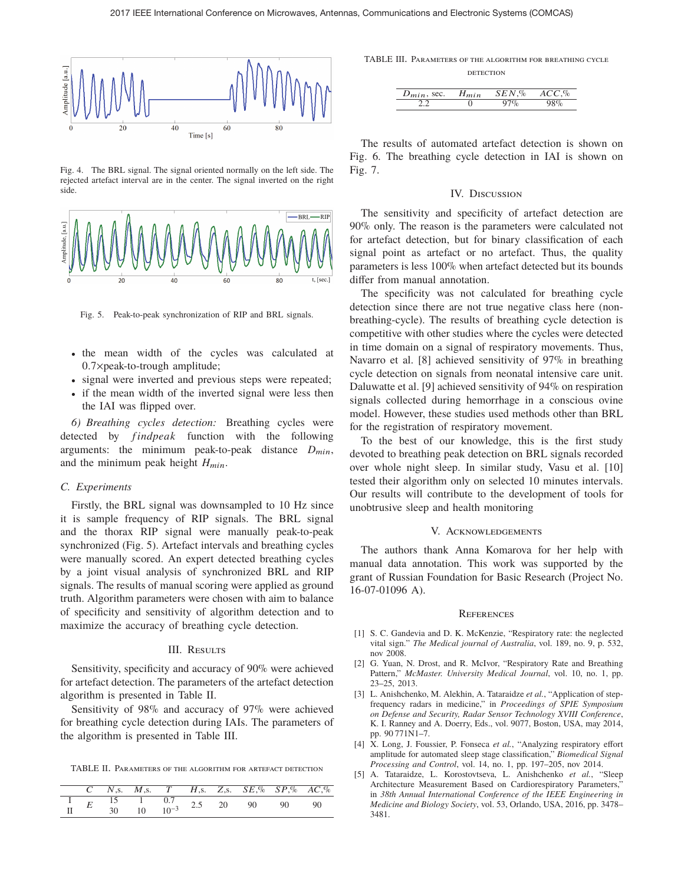

Fig. 4. The BRL signal. The signal oriented normally on the left side. The rejected artefact interval are in the center. The signal inverted on the right side.



Fig. 5. Peak-to-peak synchronization of RIP and BRL signals.

- the mean width of the cycles was calculated at 0.7×peak-to-trough amplitude;
- signal were inverted and previous steps were repeated;
- if the mean width of the inverted signal were less then the IAI was flipped over.

*6) Breathing cycles detection:* Breathing cycles were detected by *findpeak* function with the following arguments: the minimum peak-to-peak distance  $D_{min}$ , and the minimum peak height  $H_{min}$ .

# *C. Experiments*

Firstly, the BRL signal was downsampled to 10 Hz since it is sample frequency of RIP signals. The BRL signal and the thorax RIP signal were manually peak-to-peak synchronized (Fig. 5). Artefact intervals and breathing cycles were manually scored. An expert detected breathing cycles by a joint visual analysis of synchronized BRL and RIP signals. The results of manual scoring were applied as ground truth. Algorithm parameters were chosen with aim to balance of specificity and sensitivity of algorithm detection and to maximize the accuracy of breathing cycle detection.

### III. RESULTS

Sensitivity, specificity and accuracy of 90% were achieved for artefact detection. The parameters of the artefact detection algorithm is presented in Table II.

Sensitivity of 98% and accuracy of 97% were achieved for breathing cycle detection during IAIs. The parameters of the algorithm is presented in Table III.

TABLE II. Parameters of the algorithm for artefact detection

|  |                                                                      |  | C N,s. M,s. T H,s. Z,s. $SE\%$ $SP\%$ $AC\%$ |    |  |
|--|----------------------------------------------------------------------|--|----------------------------------------------|----|--|
|  | $\frac{1}{\pi}$ $E = \frac{15}{20}$ $\frac{1}{\pi} = \frac{0.7}{10}$ |  | 2.5 20 90                                    | 90 |  |
|  | 10                                                                   |  |                                              |    |  |

TABLE III. Parameters of the algorithm for breathing cycle **DETECTION** 

| $D_{min}$ , sec. | $H_{min}$ | $SEN$ .% | ACC |
|------------------|-----------|----------|-----|
|                  |           |          |     |

The results of automated artefact detection is shown on Fig. 6. The breathing cycle detection in IAI is shown on Fig. 7.

#### IV. Discussion

The sensitivity and specificity of artefact detection are 90% only. The reason is the parameters were calculated not for artefact detection, but for binary classification of each signal point as artefact or no artefact. Thus, the quality parameters is less 100% when artefact detected but its bounds differ from manual annotation.

The specificity was not calculated for breathing cycle detection since there are not true negative class here (nonbreathing-cycle). The results of breathing cycle detection is competitive with other studies where the cycles were detected in time domain on a signal of respiratory movements. Thus, Navarro et al. [8] achieved sensitivity of 97% in breathing cycle detection on signals from neonatal intensive care unit. Daluwatte et al. [9] achieved sensitivity of 94% on respiration signals collected during hemorrhage in a conscious ovine model. However, these studies used methods other than BRL for the registration of respiratory movement.

To the best of our knowledge, this is the first study devoted to breathing peak detection on BRL signals recorded over whole night sleep. In similar study, Vasu et al. [10] tested their algorithm only on selected 10 minutes intervals. Our results will contribute to the development of tools for unobtrusive sleep and health monitoring

## V. Acknowledgements

The authors thank Anna Komarova for her help with manual data annotation. This work was supported by the grant of Russian Foundation for Basic Research (Project No. 16-07-01096 A).

#### **REFERENCES**

- [1] S. C. Gandevia and D. K. McKenzie, "Respiratory rate: the neglected vital sign." *The Medical journal of Australia*, vol. 189, no. 9, p. 532, nov 2008.
- [2] G. Yuan, N. Drost, and R. McIvor, "Respiratory Rate and Breathing Pattern," *McMaster. University Medical Journal*, vol. 10, no. 1, pp. 23–25, 2013.
- [3] L. Anishchenko, M. Alekhin, A. Tataraidze *et al.*, "Application of stepfrequency radars in medicine," in *Proceedings of SPIE Symposium on Defense and Security, Radar Sensor Technology XVIII Conference*, K. I. Ranney and A. Doerry, Eds., vol. 9077, Boston, USA, may 2014, pp. 90 771N1–7.
- [4] X. Long, J. Foussier, P. Fonseca *et al.*, "Analyzing respiratory effort amplitude for automated sleep stage classification," *Biomedical Signal Processing and Control*, vol. 14, no. 1, pp. 197–205, nov 2014.
- [5] A. Tataraidze, L. Korostovtseva, L. Anishchenko *et al.*, "Sleep Architecture Measurement Based on Cardiorespiratory Parameters,' in *38th Annual International Conference of the IEEE Engineering in Medicine and Biology Society*, vol. 53, Orlando, USA, 2016, pp. 3478– 3481.